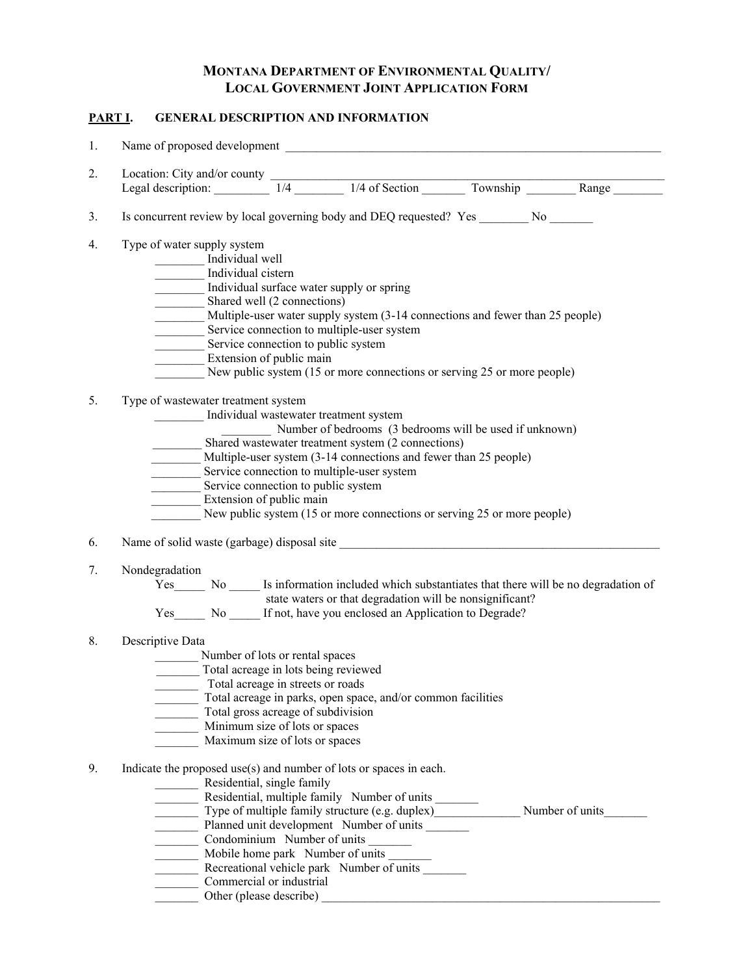## **MONTANA DEPARTMENT OF ENVIRONMENTAL QUALITY/ LOCAL GOVERNMENT JOINT APPLICATION FORM**

## **PART I. GENERAL DESCRIPTION AND INFORMATION**

| 1.             |                                                                                                                                 |
|----------------|---------------------------------------------------------------------------------------------------------------------------------|
| 2.             |                                                                                                                                 |
|                | Location: City and/or county<br>Legal description: 1/4 1/4 of Section Township Range                                            |
| 3.             | Is concurrent review by local governing body and DEQ requested? Yes _________ No _______                                        |
| 4.             | Type of water supply system                                                                                                     |
|                | Individual well                                                                                                                 |
|                | Individual cistern                                                                                                              |
|                | Individual surface water supply or spring                                                                                       |
|                | Shared well (2 connections)                                                                                                     |
|                | Multiple-user water supply system (3-14 connections and fewer than 25 people)                                                   |
|                | Service connection to multiple-user system                                                                                      |
|                | Service connection to public system                                                                                             |
|                | Extension of public main                                                                                                        |
|                | New public system (15 or more connections or serving 25 or more people)                                                         |
| 5.             | Type of wastewater treatment system                                                                                             |
|                | Individual wastewater treatment system                                                                                          |
|                | Number of bedrooms (3 bedrooms will be used if unknown)                                                                         |
|                | Shared wastewater treatment system (2 connections)                                                                              |
|                | Multiple-user system (3-14 connections and fewer than 25 people)                                                                |
|                | Service connection to multiple-user system                                                                                      |
|                | Service connection to public system                                                                                             |
|                |                                                                                                                                 |
|                | Extension of public main                                                                                                        |
|                | New public system (15 or more connections or serving 25 or more people)                                                         |
|                |                                                                                                                                 |
|                | Name of solid waste (garbage) disposal site                                                                                     |
|                | Nondegradation                                                                                                                  |
|                |                                                                                                                                 |
|                |                                                                                                                                 |
|                | state waters or that degradation will be nonsignificant?<br>Yes No _______ If not, have you enclosed an Application to Degrade? |
|                | Descriptive Data                                                                                                                |
|                | Number of lots or rental spaces                                                                                                 |
|                | Total acreage in lots being reviewed                                                                                            |
|                | Total acreage in streets or roads                                                                                               |
|                | Total acreage in parks, open space, and/or common facilities                                                                    |
|                | Total gross acreage of subdivision                                                                                              |
|                | Minimum size of lots or spaces                                                                                                  |
| 6.<br>7.<br>8. | Maximum size of lots or spaces                                                                                                  |
| 9.             | Indicate the proposed use(s) and number of lots or spaces in each.                                                              |
|                | Residential, single family                                                                                                      |
|                | $\mathcal{L}^{\text{max}}$ , where $\mathcal{L}^{\text{max}}$                                                                   |
|                | Residential, multiple family Number of units                                                                                    |
|                | Type of multiple family structure (e.g. duplex) Number of units                                                                 |
|                | Planned unit development Number of units<br>Condominium Number of units                                                         |
|                |                                                                                                                                 |
|                | Recreational vehicle park Number of units                                                                                       |
|                | Commercial or industrial                                                                                                        |